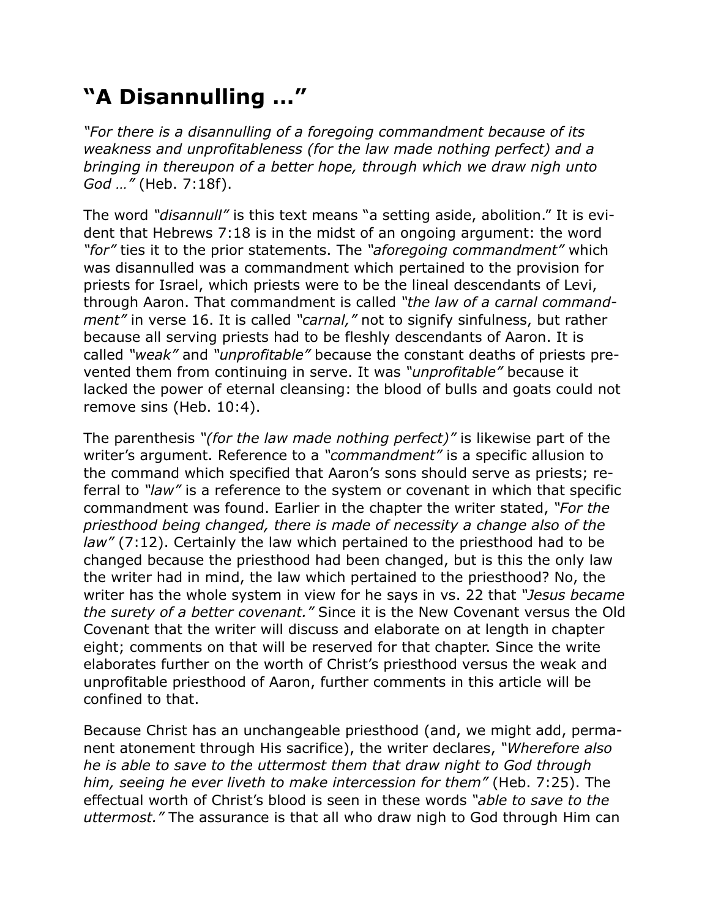## **"A Disannulling …"**

*"For there is a disannulling of a foregoing commandment because of its weakness and unprofitableness (for the law made nothing perfect) and a bringing in thereupon of a better hope, through which we draw nigh unto God …"* (Heb. 7:18f).

The word *"disannull"* is this text means "a setting aside, abolition." It is evident that Hebrews 7:18 is in the midst of an ongoing argument: the word *"for"* ties it to the prior statements. The *"aforegoing commandment"* which was disannulled was a commandment which pertained to the provision for priests for Israel, which priests were to be the lineal descendants of Levi, through Aaron. That commandment is called *"the law of a carnal commandment"* in verse 16. It is called *"carnal,"* not to signify sinfulness, but rather because all serving priests had to be fleshly descendants of Aaron. It is called *"weak"* and *"unprofitable"* because the constant deaths of priests prevented them from continuing in serve. It was *"unprofitable"* because it lacked the power of eternal cleansing: the blood of bulls and goats could not remove sins (Heb. 10:4).

The parenthesis *"(for the law made nothing perfect)"* is likewise part of the writer's argument. Reference to a *"commandment"* is a specific allusion to the command which specified that Aaron's sons should serve as priests; referral to *"law"* is a reference to the system or covenant in which that specific commandment was found. Earlier in the chapter the writer stated, *"For the priesthood being changed, there is made of necessity a change also of the law"* (7:12). Certainly the law which pertained to the priesthood had to be changed because the priesthood had been changed, but is this the only law the writer had in mind, the law which pertained to the priesthood? No, the writer has the whole system in view for he says in vs. 22 that *"Jesus became the surety of a better covenant."* Since it is the New Covenant versus the Old Covenant that the writer will discuss and elaborate on at length in chapter eight; comments on that will be reserved for that chapter. Since the write elaborates further on the worth of Christ's priesthood versus the weak and unprofitable priesthood of Aaron, further comments in this article will be confined to that.

Because Christ has an unchangeable priesthood (and, we might add, permanent atonement through His sacrifice), the writer declares, *"Wherefore also he is able to save to the uttermost them that draw night to God through him, seeing he ever liveth to make intercession for them"* (Heb. 7:25). The effectual worth of Christ's blood is seen in these words *"able to save to the uttermost."* The assurance is that all who draw nigh to God through Him can